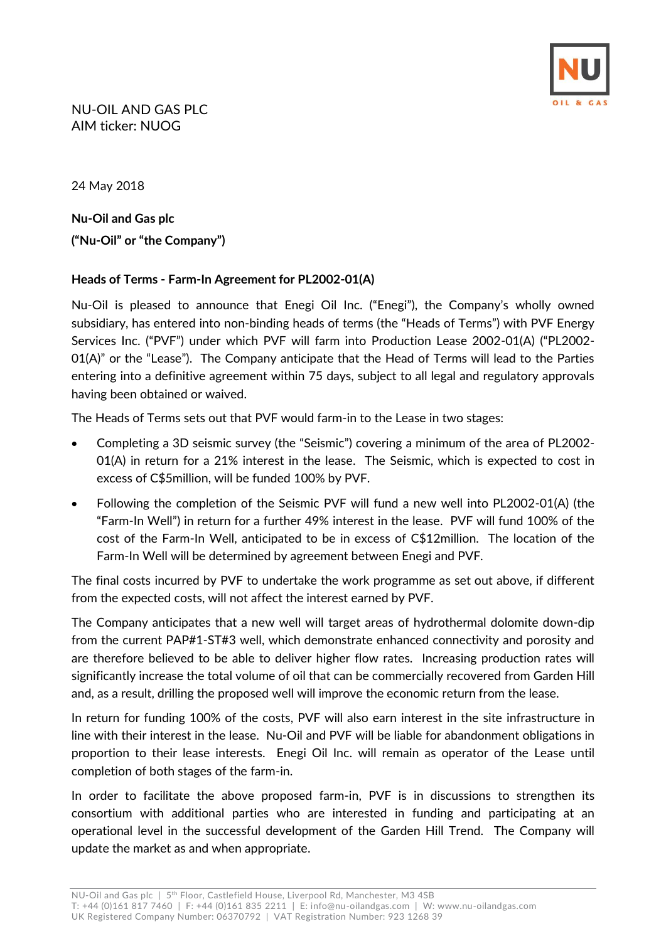

24 May 2018

**Nu-Oil and Gas plc ("Nu-Oil" or "the Company")**

### **Heads of Terms - Farm-In Agreement for PL2002-01(A)**

Nu-Oil is pleased to announce that Enegi Oil Inc. ("Enegi"), the Company's wholly owned subsidiary, has entered into non-binding heads of terms (the "Heads of Terms") with PVF Energy Services Inc. ("PVF") under which PVF will farm into Production Lease 2002-01(A) ("PL2002- 01(A)" or the "Lease"). The Company anticipate that the Head of Terms will lead to the Parties entering into a definitive agreement within 75 days, subject to all legal and regulatory approvals having been obtained or waived.

The Heads of Terms sets out that PVF would farm-in to the Lease in two stages:

- Completing a 3D seismic survey (the "Seismic") covering a minimum of the area of PL2002- 01(A) in return for a 21% interest in the lease. The Seismic, which is expected to cost in excess of C\$5million, will be funded 100% by PVF.
- Following the completion of the Seismic PVF will fund a new well into PL2002-01(A) (the "Farm-In Well") in return for a further 49% interest in the lease. PVF will fund 100% of the cost of the Farm-In Well, anticipated to be in excess of C\$12million. The location of the Farm-In Well will be determined by agreement between Enegi and PVF.

The final costs incurred by PVF to undertake the work programme as set out above, if different from the expected costs, will not affect the interest earned by PVF.

The Company anticipates that a new well will target areas of hydrothermal dolomite down-dip from the current PAP#1-ST#3 well, which demonstrate enhanced connectivity and porosity and are therefore believed to be able to deliver higher flow rates. Increasing production rates will significantly increase the total volume of oil that can be commercially recovered from Garden Hill and, as a result, drilling the proposed well will improve the economic return from the lease.

In return for funding 100% of the costs, PVF will also earn interest in the site infrastructure in line with their interest in the lease. Nu-Oil and PVF will be liable for abandonment obligations in proportion to their lease interests. Enegi Oil Inc. will remain as operator of the Lease until completion of both stages of the farm-in.

In order to facilitate the above proposed farm-in, PVF is in discussions to strengthen its consortium with additional parties who are interested in funding and participating at an operational level in the successful development of the Garden Hill Trend. The Company will update the market as and when appropriate.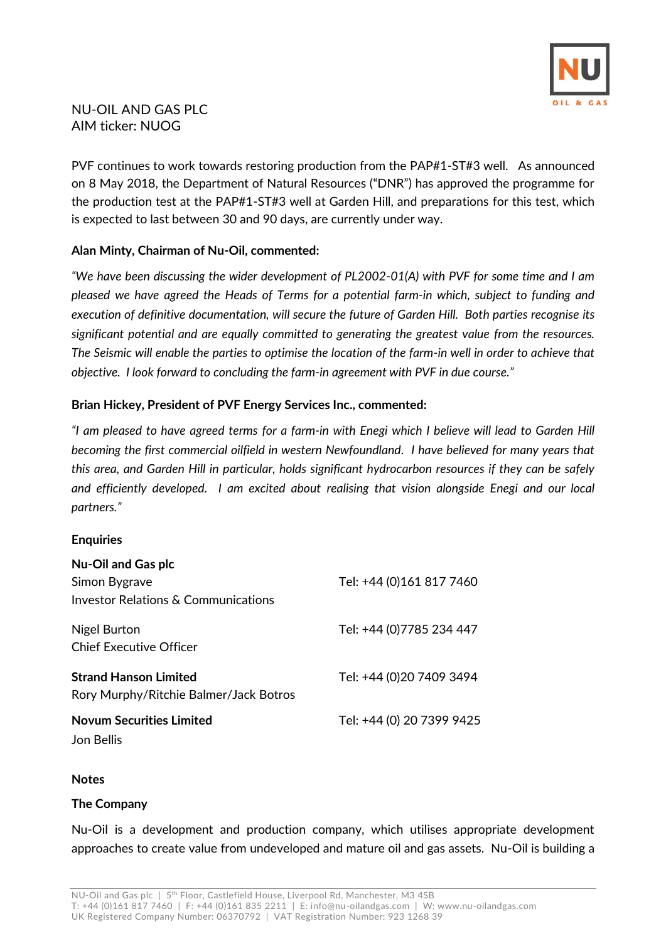

# NU-OIL AND GAS PLC AIM ticker: NUOG

PVF continues to work towards restoring production from the PAP#1-ST#3 well. As announced on 8 May 2018, the Department of Natural Resources ("DNR") has approved the programme for the production test at the PAP#1-ST#3 well at Garden Hill, and preparations for this test, which is expected to last between 30 and 90 days, are currently under way.

#### **Alan Minty, Chairman of Nu-Oil, commented:**

*"We have been discussing the wider development of PL2002-01(A) with PVF for some time and I am pleased we have agreed the Heads of Terms for a potential farm-in which, subject to funding and execution of definitive documentation, will secure the future of Garden Hill. Both parties recognise its significant potential and are equally committed to generating the greatest value from the resources. The Seismic will enable the parties to optimise the location of the farm-in well in order to achieve that objective. I look forward to concluding the farm-in agreement with PVF in due course."*

### **Brian Hickey, President of PVF Energy Services Inc., commented:**

*"I am pleased to have agreed terms for a farm-in with Enegi which I believe will lead to Garden Hill becoming the first commercial oilfield in western Newfoundland. I have believed for many years that this area, and Garden Hill in particular, holds significant hydrocarbon resources if they can be safely and efficiently developed. I am excited about realising that vision alongside Enegi and our local partners."*

#### **Enquiries**

| <b>Nu-Oil and Gas plc</b>                                              |                           |
|------------------------------------------------------------------------|---------------------------|
| Simon Bygrave                                                          | Tel: +44 (0)161 817 7460  |
| Investor Relations & Communications                                    |                           |
| Nigel Burton<br><b>Chief Executive Officer</b>                         | Tel: +44 (0)7785 234 447  |
| <b>Strand Hanson Limited</b><br>Rory Murphy/Ritchie Balmer/Jack Botros | Tel: +44 (0)20 7409 3494  |
| <b>Novum Securities Limited</b><br>Jon Bellis                          | Tel: +44 (0) 20 7399 9425 |

#### **Notes**

#### **The Company**

Nu-Oil is a development and production company, which utilises appropriate development approaches to create value from undeveloped and mature oil and gas assets. Nu-Oil is building a